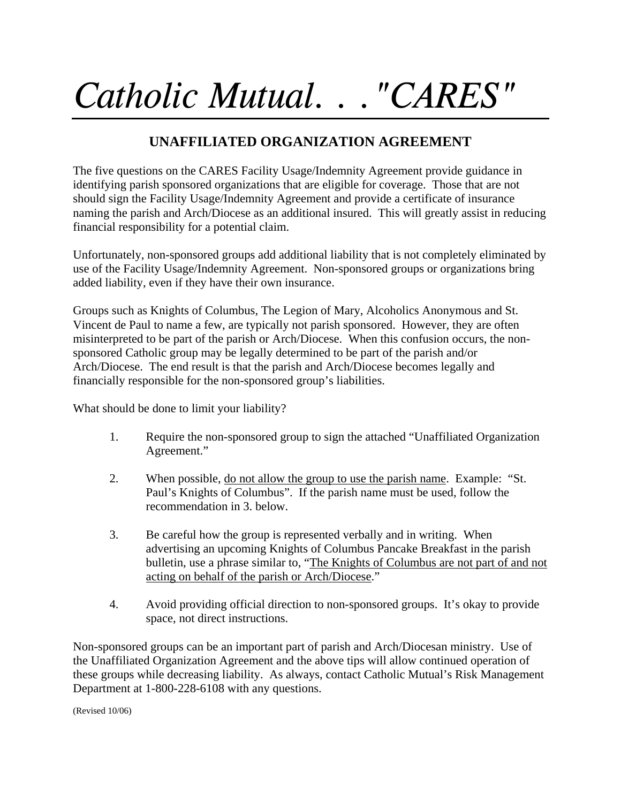## *Catholic Mutual. . ."CARES"*

## **UNAFFILIATED ORGANIZATION AGREEMENT**

The five questions on the CARES Facility Usage/Indemnity Agreement provide guidance in identifying parish sponsored organizations that are eligible for coverage. Those that are not should sign the Facility Usage/Indemnity Agreement and provide a certificate of insurance naming the parish and Arch/Diocese as an additional insured. This will greatly assist in reducing financial responsibility for a potential claim.

Unfortunately, non-sponsored groups add additional liability that is not completely eliminated by use of the Facility Usage/Indemnity Agreement. Non-sponsored groups or organizations bring added liability, even if they have their own insurance.

Groups such as Knights of Columbus, The Legion of Mary, Alcoholics Anonymous and St. Vincent de Paul to name a few, are typically not parish sponsored. However, they are often misinterpreted to be part of the parish or Arch/Diocese. When this confusion occurs, the nonsponsored Catholic group may be legally determined to be part of the parish and/or Arch/Diocese. The end result is that the parish and Arch/Diocese becomes legally and financially responsible for the non-sponsored group's liabilities.

What should be done to limit your liability?

- 1. Require the non-sponsored group to sign the attached "Unaffiliated Organization Agreement."
- 2. When possible, do not allow the group to use the parish name. Example: "St. Paul's Knights of Columbus". If the parish name must be used, follow the recommendation in 3. below.
- 3. Be careful how the group is represented verbally and in writing. When advertising an upcoming Knights of Columbus Pancake Breakfast in the parish bulletin, use a phrase similar to, "The Knights of Columbus are not part of and not acting on behalf of the parish or Arch/Diocese."
- 4. Avoid providing official direction to non-sponsored groups. It's okay to provide space, not direct instructions.

Non-sponsored groups can be an important part of parish and Arch/Diocesan ministry. Use of the Unaffiliated Organization Agreement and the above tips will allow continued operation of these groups while decreasing liability. As always, contact Catholic Mutual's Risk Management Department at 1-800-228-6108 with any questions.

(Revised 10/06)